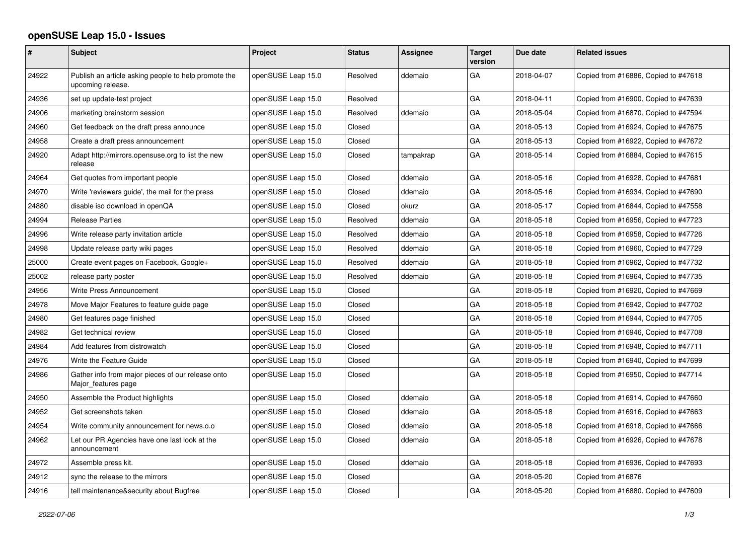## **openSUSE Leap 15.0 - Issues**

| #     | Subject                                                                   | Project            | <b>Status</b> | Assignee  | <b>Target</b><br>version | Due date   | <b>Related issues</b>                |
|-------|---------------------------------------------------------------------------|--------------------|---------------|-----------|--------------------------|------------|--------------------------------------|
| 24922 | Publish an article asking people to help promote the<br>upcoming release. | openSUSE Leap 15.0 | Resolved      | ddemaio   | GA                       | 2018-04-07 | Copied from #16886, Copied to #47618 |
| 24936 | set up update-test project                                                | openSUSE Leap 15.0 | Resolved      |           | GA                       | 2018-04-11 | Copied from #16900, Copied to #47639 |
| 24906 | marketing brainstorm session                                              | openSUSE Leap 15.0 | Resolved      | ddemaio   | GA                       | 2018-05-04 | Copied from #16870, Copied to #47594 |
| 24960 | Get feedback on the draft press announce                                  | openSUSE Leap 15.0 | Closed        |           | GA                       | 2018-05-13 | Copied from #16924, Copied to #47675 |
| 24958 | Create a draft press announcement                                         | openSUSE Leap 15.0 | Closed        |           | GA                       | 2018-05-13 | Copied from #16922, Copied to #47672 |
| 24920 | Adapt http://mirrors.opensuse.org to list the new<br>release              | openSUSE Leap 15.0 | Closed        | tampakrap | GA                       | 2018-05-14 | Copied from #16884, Copied to #47615 |
| 24964 | Get quotes from important people                                          | openSUSE Leap 15.0 | Closed        | ddemaio   | GA                       | 2018-05-16 | Copied from #16928, Copied to #47681 |
| 24970 | Write 'reviewers guide', the mail for the press                           | openSUSE Leap 15.0 | Closed        | ddemaio   | GA                       | 2018-05-16 | Copied from #16934, Copied to #47690 |
| 24880 | disable iso download in openQA                                            | openSUSE Leap 15.0 | Closed        | okurz     | GA                       | 2018-05-17 | Copied from #16844, Copied to #47558 |
| 24994 | <b>Release Parties</b>                                                    | openSUSE Leap 15.0 | Resolved      | ddemaio   | GA                       | 2018-05-18 | Copied from #16956, Copied to #47723 |
| 24996 | Write release party invitation article                                    | openSUSE Leap 15.0 | Resolved      | ddemaio   | GA                       | 2018-05-18 | Copied from #16958, Copied to #47726 |
| 24998 | Update release party wiki pages                                           | openSUSE Leap 15.0 | Resolved      | ddemaio   | GA                       | 2018-05-18 | Copied from #16960, Copied to #47729 |
| 25000 | Create event pages on Facebook, Google+                                   | openSUSE Leap 15.0 | Resolved      | ddemaio   | GA                       | 2018-05-18 | Copied from #16962, Copied to #47732 |
| 25002 | release party poster                                                      | openSUSE Leap 15.0 | Resolved      | ddemaio   | GA                       | 2018-05-18 | Copied from #16964, Copied to #47735 |
| 24956 | Write Press Announcement                                                  | openSUSE Leap 15.0 | Closed        |           | GA                       | 2018-05-18 | Copied from #16920, Copied to #47669 |
| 24978 | Move Major Features to feature guide page                                 | openSUSE Leap 15.0 | Closed        |           | GA                       | 2018-05-18 | Copied from #16942, Copied to #47702 |
| 24980 | Get features page finished                                                | openSUSE Leap 15.0 | Closed        |           | GA                       | 2018-05-18 | Copied from #16944, Copied to #47705 |
| 24982 | Get technical review                                                      | openSUSE Leap 15.0 | Closed        |           | GA                       | 2018-05-18 | Copied from #16946, Copied to #47708 |
| 24984 | Add features from distrowatch                                             | openSUSE Leap 15.0 | Closed        |           | GA                       | 2018-05-18 | Copied from #16948, Copied to #47711 |
| 24976 | Write the Feature Guide                                                   | openSUSE Leap 15.0 | Closed        |           | GA                       | 2018-05-18 | Copied from #16940, Copied to #47699 |
| 24986 | Gather info from major pieces of our release onto<br>Major_features page  | openSUSE Leap 15.0 | Closed        |           | GA                       | 2018-05-18 | Copied from #16950, Copied to #47714 |
| 24950 | Assemble the Product highlights                                           | openSUSE Leap 15.0 | Closed        | ddemaio   | GA                       | 2018-05-18 | Copied from #16914, Copied to #47660 |
| 24952 | Get screenshots taken                                                     | openSUSE Leap 15.0 | Closed        | ddemaio   | GA                       | 2018-05-18 | Copied from #16916, Copied to #47663 |
| 24954 | Write community announcement for news.o.o                                 | openSUSE Leap 15.0 | Closed        | ddemaio   | GA                       | 2018-05-18 | Copied from #16918, Copied to #47666 |
| 24962 | Let our PR Agencies have one last look at the<br>announcement             | openSUSE Leap 15.0 | Closed        | ddemaio   | GA                       | 2018-05-18 | Copied from #16926, Copied to #47678 |
| 24972 | Assemble press kit.                                                       | openSUSE Leap 15.0 | Closed        | ddemaio   | GA                       | 2018-05-18 | Copied from #16936, Copied to #47693 |
| 24912 | sync the release to the mirrors                                           | openSUSE Leap 15.0 | Closed        |           | GA                       | 2018-05-20 | Copied from #16876                   |
| 24916 | tell maintenance&security about Bugfree                                   | openSUSE Leap 15.0 | Closed        |           | GA                       | 2018-05-20 | Copied from #16880, Copied to #47609 |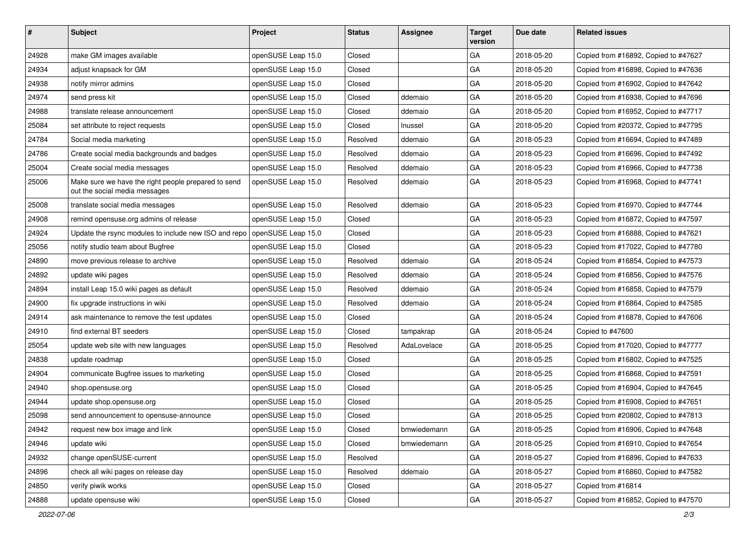| $\sharp$ | <b>Subject</b>                                                                       | Project            | <b>Status</b> | <b>Assignee</b> | <b>Target</b><br>version | Due date   | <b>Related issues</b>                |
|----------|--------------------------------------------------------------------------------------|--------------------|---------------|-----------------|--------------------------|------------|--------------------------------------|
| 24928    | make GM images available                                                             | openSUSE Leap 15.0 | Closed        |                 | GA                       | 2018-05-20 | Copied from #16892, Copied to #47627 |
| 24934    | adjust knapsack for GM                                                               | openSUSE Leap 15.0 | Closed        |                 | GA                       | 2018-05-20 | Copied from #16898, Copied to #47636 |
| 24938    | notify mirror admins                                                                 | openSUSE Leap 15.0 | Closed        |                 | GA                       | 2018-05-20 | Copied from #16902, Copied to #47642 |
| 24974    | send press kit                                                                       | openSUSE Leap 15.0 | Closed        | ddemaio         | GA                       | 2018-05-20 | Copied from #16938, Copied to #47696 |
| 24988    | translate release announcement                                                       | openSUSE Leap 15.0 | Closed        | ddemaio         | GA                       | 2018-05-20 | Copied from #16952, Copied to #47717 |
| 25084    | set attribute to reject requests                                                     | openSUSE Leap 15.0 | Closed        | Inussel         | GA                       | 2018-05-20 | Copied from #20372, Copied to #47795 |
| 24784    | Social media marketing                                                               | openSUSE Leap 15.0 | Resolved      | ddemaio         | GA                       | 2018-05-23 | Copied from #16694, Copied to #47489 |
| 24786    | Create social media backgrounds and badges                                           | openSUSE Leap 15.0 | Resolved      | ddemaio         | GA                       | 2018-05-23 | Copied from #16696, Copied to #47492 |
| 25004    | Create social media messages                                                         | openSUSE Leap 15.0 | Resolved      | ddemaio         | GA                       | 2018-05-23 | Copied from #16966, Copied to #47738 |
| 25006    | Make sure we have the right people prepared to send<br>out the social media messages | openSUSE Leap 15.0 | Resolved      | ddemaio         | GA                       | 2018-05-23 | Copied from #16968, Copied to #47741 |
| 25008    | translate social media messages                                                      | openSUSE Leap 15.0 | Resolved      | ddemaio         | GA                       | 2018-05-23 | Copied from #16970, Copied to #47744 |
| 24908    | remind opensuse.org admins of release                                                | openSUSE Leap 15.0 | Closed        |                 | GA                       | 2018-05-23 | Copied from #16872, Copied to #47597 |
| 24924    | Update the rsync modules to include new ISO and repo   openSUSE Leap 15.0            |                    | Closed        |                 | GA                       | 2018-05-23 | Copied from #16888, Copied to #47621 |
| 25056    | notify studio team about Bugfree                                                     | openSUSE Leap 15.0 | Closed        |                 | GA                       | 2018-05-23 | Copied from #17022, Copied to #47780 |
| 24890    | move previous release to archive                                                     | openSUSE Leap 15.0 | Resolved      | ddemaio         | GA                       | 2018-05-24 | Copied from #16854, Copied to #47573 |
| 24892    | update wiki pages                                                                    | openSUSE Leap 15.0 | Resolved      | ddemaio         | GA                       | 2018-05-24 | Copied from #16856, Copied to #47576 |
| 24894    | install Leap 15.0 wiki pages as default                                              | openSUSE Leap 15.0 | Resolved      | ddemaio         | GA                       | 2018-05-24 | Copied from #16858, Copied to #47579 |
| 24900    | fix upgrade instructions in wiki                                                     | openSUSE Leap 15.0 | Resolved      | ddemaio         | GA                       | 2018-05-24 | Copied from #16864, Copied to #47585 |
| 24914    | ask maintenance to remove the test updates                                           | openSUSE Leap 15.0 | Closed        |                 | GA                       | 2018-05-24 | Copied from #16878, Copied to #47606 |
| 24910    | find external BT seeders                                                             | openSUSE Leap 15.0 | Closed        | tampakrap       | GA                       | 2018-05-24 | Copied to #47600                     |
| 25054    | update web site with new languages                                                   | openSUSE Leap 15.0 | Resolved      | AdaLovelace     | GA                       | 2018-05-25 | Copied from #17020, Copied to #47777 |
| 24838    | update roadmap                                                                       | openSUSE Leap 15.0 | Closed        |                 | GA                       | 2018-05-25 | Copied from #16802, Copied to #47525 |
| 24904    | communicate Bugfree issues to marketing                                              | openSUSE Leap 15.0 | Closed        |                 | GA                       | 2018-05-25 | Copied from #16868, Copied to #47591 |
| 24940    | shop.opensuse.org                                                                    | openSUSE Leap 15.0 | Closed        |                 | GA                       | 2018-05-25 | Copied from #16904, Copied to #47645 |
| 24944    | update shop.opensuse.org                                                             | openSUSE Leap 15.0 | Closed        |                 | GA                       | 2018-05-25 | Copied from #16908, Copied to #47651 |
| 25098    | send announcement to opensuse-announce                                               | openSUSE Leap 15.0 | Closed        |                 | GA                       | 2018-05-25 | Copied from #20802, Copied to #47813 |
| 24942    | request new box image and link                                                       | openSUSE Leap 15.0 | Closed        | bmwiedemann     | GA                       | 2018-05-25 | Copied from #16906, Copied to #47648 |
| 24946    | update wiki                                                                          | openSUSE Leap 15.0 | Closed        | bmwiedemann     | GA                       | 2018-05-25 | Copied from #16910, Copied to #47654 |
| 24932    | change openSUSE-current                                                              | openSUSE Leap 15.0 | Resolved      |                 | GA                       | 2018-05-27 | Copied from #16896, Copied to #47633 |
| 24896    | check all wiki pages on release day                                                  | openSUSE Leap 15.0 | Resolved      | ddemaio         | GA                       | 2018-05-27 | Copied from #16860, Copied to #47582 |
| 24850    | verify piwik works                                                                   | openSUSE Leap 15.0 | Closed        |                 | GA                       | 2018-05-27 | Copied from #16814                   |
| 24888    | update opensuse wiki                                                                 | openSUSE Leap 15.0 | Closed        |                 | GA                       | 2018-05-27 | Copied from #16852, Copied to #47570 |